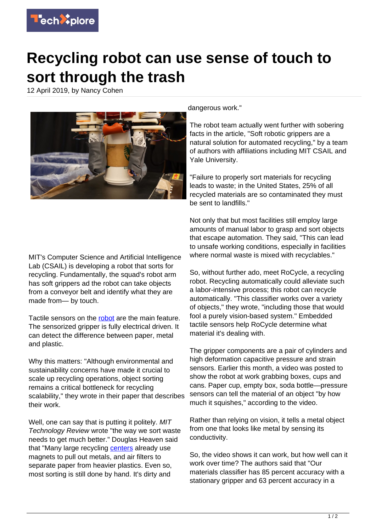

## **Recycling robot can use sense of touch to sort through the trash**

12 April 2019, by Nancy Cohen



MIT's Computer Science and Artificial Intelligence Lab (CSAIL) is developing a robot that sorts for recycling. Fundamentally, the squad's robot arm has soft grippers ad the robot can take objects from a conveyor belt and identify what they are made from— by touch.

Tactile sensors on the [robot](https://techxplore.com/tags/robot/) are the main feature. The sensorized gripper is fully electrical driven. It can detect the difference between paper, metal and plastic.

Why this matters: "Although environmental and sustainability concerns have made it crucial to scale up recycling operations, object sorting remains a critical bottleneck for recycling scalability," they wrote in their paper that describes their work.

Well, one can say that is putting it politely. MIT Technology Review wrote "the way we sort waste needs to get much better." Douglas Heaven said that "Many large recycling [centers](https://www.technologyreview.com/s/613299/this-robot-can-sort-recycling-by-giving-it-a-squeeze/) already use magnets to pull out metals, and air filters to separate paper from heavier plastics. Even so, most sorting is still done by hand. It's dirty and

dangerous work."

The robot team actually went further with sobering facts in the article, "Soft robotic grippers are a natural solution for automated recycling," by a team of authors with affiliations including MIT CSAIL and Yale University.

"Failure to properly sort materials for recycling leads to waste; in the United States, 25% of all recycled materials are so contaminated they must be sent to landfills."

Not only that but most facilities still employ large amounts of manual labor to grasp and sort objects that escape automation. They said, "This can lead to unsafe working conditions, especially in facilities where normal waste is mixed with recyclables."

So, without further ado, meet RoCycle, a recycling robot. Recycling automatically could alleviate such a labor-intensive process; this robot can recycle automatically. "This classifier works over a variety of objects," they wrote, "including those that would fool a purely vision-based system." Embedded tactile sensors help RoCycle determine what material it's dealing with.

The gripper components are a pair of cylinders and high deformation capacitive pressure and strain sensors. Earlier this month, a video was posted to show the robot at work grabbing boxes, cups and cans. Paper cup, empty box, soda bottle—pressure sensors can tell the material of an object "by how much it squishes," according to the video.

Rather than relying on vision, it tells a metal object from one that looks like metal by sensing its conductivity.

So, the video shows it can work, but how well can it work over time? The authors said that "Our materials classifier has 85 percent accuracy with a stationary gripper and 63 percent accuracy in a